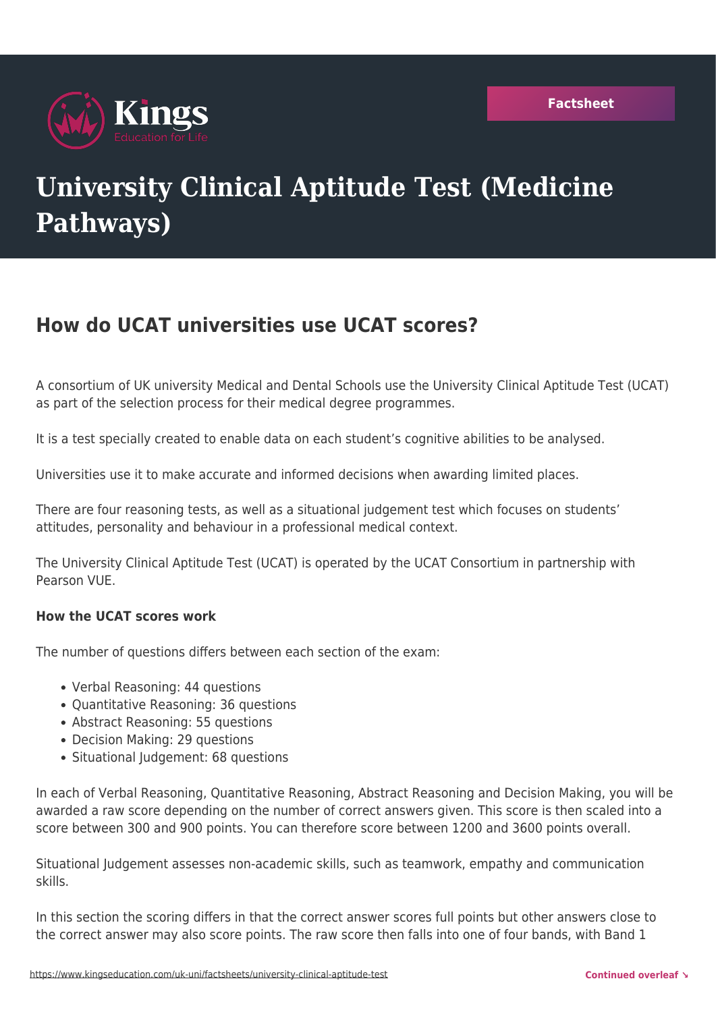

# **University Clinical Aptitude Test (Medicine Pathways)**

# **How do UCAT universities use UCAT scores?**

A consortium of UK university Medical and Dental Schools use the University Clinical Aptitude Test (UCAT) as part of the selection process for their medical degree programmes.

It is a test specially created to enable data on each student's cognitive abilities to be analysed.

Universities use it to make accurate and informed decisions when awarding limited places.

There are four reasoning tests, as well as a situational judgement test which focuses on students' attitudes, personality and behaviour in a professional medical context.

The University Clinical Aptitude Test (UCAT) is operated by the UCAT Consortium in partnership with Pearson VUE.

## **How the UCAT scores work**

The number of questions differs between each section of the exam:

- Verbal Reasoning: 44 questions
- Quantitative Reasoning: 36 questions
- Abstract Reasoning: 55 questions
- Decision Making: 29 questions
- Situational Judgement: 68 questions

In each of Verbal Reasoning, Quantitative Reasoning, Abstract Reasoning and Decision Making, you will be awarded a raw score depending on the number of correct answers given. This score is then scaled into a score between 300 and 900 points. You can therefore score between 1200 and 3600 points overall.

Situational Judgement assesses non-academic skills, such as teamwork, empathy and communication skills.

In this section the scoring differs in that the correct answer scores full points but other answers close to the correct answer may also score points. The raw score then falls into one of four bands, with Band 1